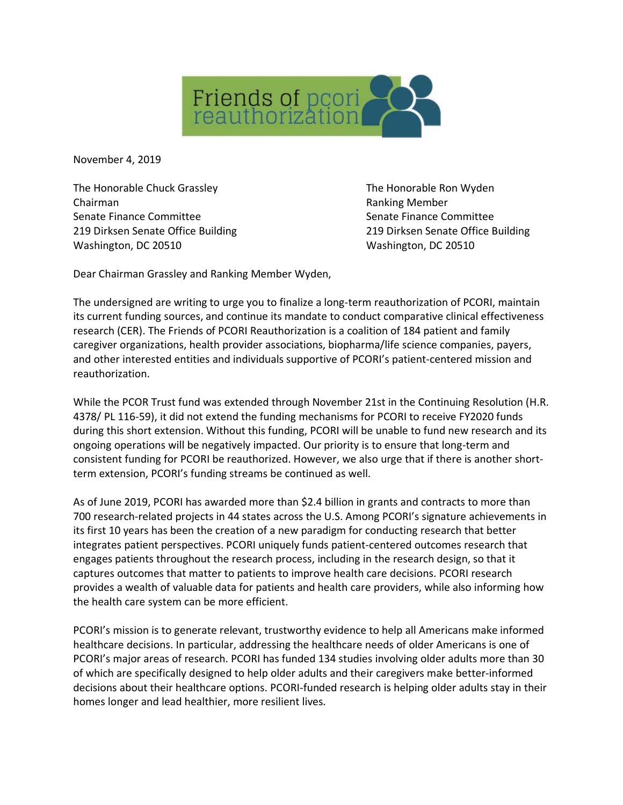

November 4, 2019

The Honorable Chuck Grassley The Honorable Ron Wyden Chairman **Chairman** Chairman **Ranking Member** Senate Finance Committee Senate Finance Committee Washington, DC 20510 Washington, DC 20510

219 Dirksen Senate Office Building 219 Dirksen Senate Office Building

Dear Chairman Grassley and Ranking Member Wyden,

The undersigned are writing to urge you to finalize a long-term reauthorization of PCORI, maintain its current funding sources, and continue its mandate to conduct comparative clinical effectiveness research (CER). The Friends of PCORI Reauthorization is a coalition of 184 patient and family caregiver organizations, health provider associations, biopharma/life science companies, payers, and other interested entities and individuals supportive of PCORI's patient-centered mission and reauthorization.

While the PCOR Trust fund was extended through November 21st in the Continuing Resolution (H.R. 4378/ PL 116-59), it did not extend the funding mechanisms for PCORI to receive FY2020 funds during this short extension. Without this funding, PCORI will be unable to fund new research and its ongoing operations will be negatively impacted. Our priority is to ensure that long-term and consistent funding for PCORI be reauthorized. However, we also urge that if there is another shortterm extension, PCORI's funding streams be continued as well.

As of June 2019, PCORI has awarded more than \$2.4 billion in grants and contracts to more than 700 research-related projects in 44 states across the U.S. Among PCORI's signature achievements in its first 10 years has been the creation of a new paradigm for conducting research that better integrates patient perspectives. PCORI uniquely funds patient-centered outcomes research that engages patients throughout the research process, including in the research design, so that it captures outcomes that matter to patients to improve health care decisions. PCORI research provides a wealth of valuable data for patients and health care providers, while also informing how the health care system can be more efficient.

PCORI's mission is to generate relevant, trustworthy evidence to help all Americans make informed healthcare decisions. In particular, addressing the healthcare needs of older Americans is one of PCORI's major areas of research. PCORI has funded 134 studies involving older adults more than 30 of which are specifically designed to help older adults and their caregivers make better-informed decisions about their healthcare options. PCORI-funded research is helping older adults stay in their homes longer and lead healthier, more resilient lives.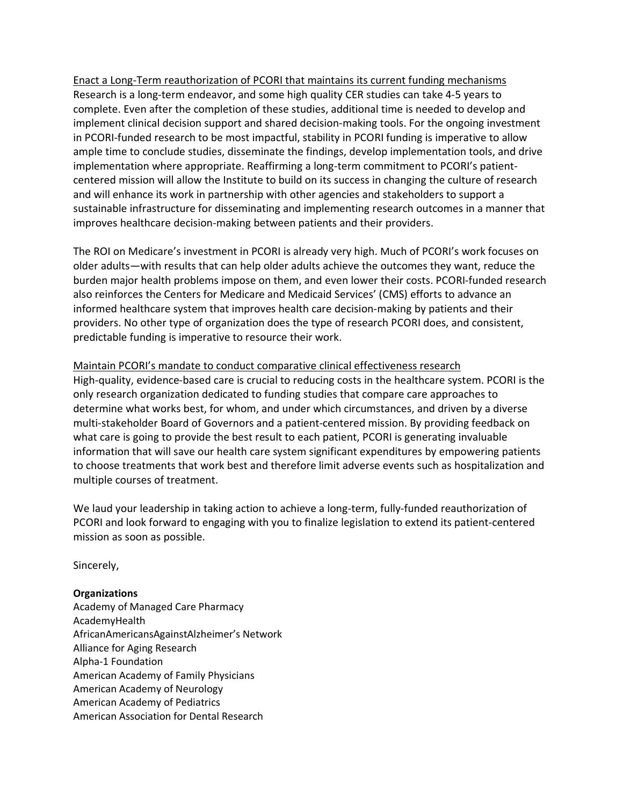Enact a Long-Term reauthorization of PCORI that maintains its current funding mechanisms Research is a long-term endeavor, and some high quality CER studies can take 4-5 years to complete. Even after the completion of these studies, additional time is needed to develop and implement clinical decision support and shared decision-making tools. For the ongoing investment in PCORI-funded research to be most impactful, stability in PCORI funding is imperative to allow ample time to conclude studies, disseminate the findings, develop implementation tools, and drive implementation where appropriate. Reaffirming a long-term commitment to PCORI's patientcentered mission will allow the Institute to build on its success in changing the culture of research and will enhance its work in partnership with other agencies and stakeholders to support a sustainable infrastructure for disseminating and implementing research outcomes in a manner that improves healthcare decision-making between patients and their providers.

The ROI on Medicare's investment in PCORI is already very high. Much of PCORI's work focuses on older adults—with results that can help older adults achieve the outcomes they want, reduce the burden major health problems impose on them, and even lower their costs. PCORI-funded research also reinforces the Centers for Medicare and Medicaid Services' (CMS) efforts to advance an informed healthcare system that improves health care decision-making by patients and their providers. No other type of organization does the type of research PCORI does, and consistent, predictable funding is imperative to resource their work.

Maintain PCORI's mandate to conduct comparative clinical effectiveness research High-quality, evidence-based care is crucial to reducing costs in the healthcare system. PCORI is the only research organization dedicated to funding studies that compare care approaches to determine what works best, for whom, and under which circumstances, and driven by a diverse multi-stakeholder Board of Governors and a patient-centered mission. By providing feedback on what care is going to provide the best result to each patient, PCORI is generating invaluable information that will save our health care system significant expenditures by empowering patients to choose treatments that work best and therefore limit adverse events such as hospitalization and multiple courses of treatment.

We laud your leadership in taking action to achieve a long-term, fully-funded reauthorization of PCORI and look forward to engaging with you to finalize legislation to extend its patient-centered mission as soon as possible.

Sincerely,

## **Organizations**

Academy of Managed Care Pharmacy AcademyHealth AfricanAmericansAgainstAlzheimer's Network Alliance for Aging Research Alpha-1 Foundation American Academy of Family Physicians American Academy of Neurology American Academy of Pediatrics American Association for Dental Research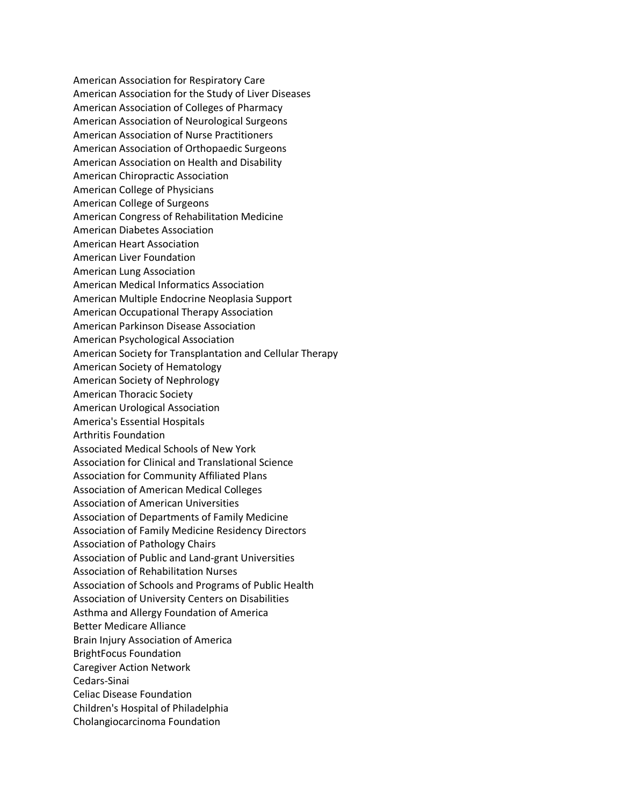American Association for Respiratory Care American Association for the Study of Liver Diseases American Association of Colleges of Pharmacy American Association of Neurological Surgeons American Association of Nurse Practitioners American Association of Orthopaedic Surgeons American Association on Health and Disability American Chiropractic Association American College of Physicians American College of Surgeons American Congress of Rehabilitation Medicine American Diabetes Association American Heart Association American Liver Foundation American Lung Association American Medical Informatics Association American Multiple Endocrine Neoplasia Support American Occupational Therapy Association American Parkinson Disease Association American Psychological Association American Society for Transplantation and Cellular Therapy American Society of Hematology American Society of Nephrology American Thoracic Society American Urological Association America's Essential Hospitals Arthritis Foundation Associated Medical Schools of New York Association for Clinical and Translational Science Association for Community Affiliated Plans Association of American Medical Colleges Association of American Universities Association of Departments of Family Medicine Association of Family Medicine Residency Directors Association of Pathology Chairs Association of Public and Land-grant Universities Association of Rehabilitation Nurses Association of Schools and Programs of Public Health Association of University Centers on Disabilities Asthma and Allergy Foundation of America Better Medicare Alliance Brain Injury Association of America BrightFocus Foundation Caregiver Action Network Cedars-Sinai Celiac Disease Foundation Children's Hospital of Philadelphia Cholangiocarcinoma Foundation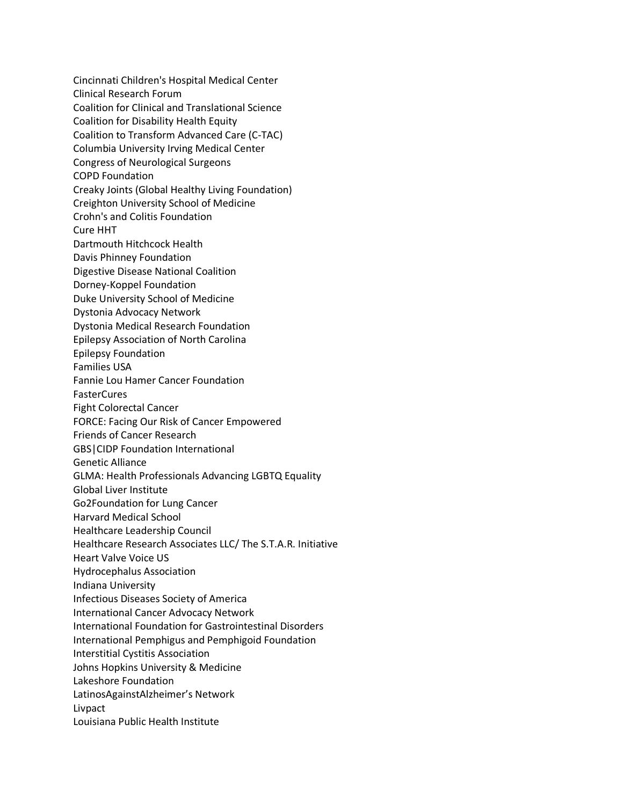Cincinnati Children's Hospital Medical Center Clinical Research Forum Coalition for Clinical and Translational Science Coalition for Disability Health Equity Coalition to Transform Advanced Care (C-TAC) Columbia University Irving Medical Center Congress of Neurological Surgeons COPD Foundation Creaky Joints (Global Healthy Living Foundation) Creighton University School of Medicine Crohn's and Colitis Foundation Cure HHT Dartmouth Hitchcock Health Davis Phinney Foundation Digestive Disease National Coalition Dorney-Koppel Foundation Duke University School of Medicine Dystonia Advocacy Network Dystonia Medical Research Foundation Epilepsy Association of North Carolina Epilepsy Foundation Families USA Fannie Lou Hamer Cancer Foundation **FasterCures** Fight Colorectal Cancer FORCE: Facing Our Risk of Cancer Empowered Friends of Cancer Research GBS|CIDP Foundation International Genetic Alliance GLMA: Health Professionals Advancing LGBTQ Equality Global Liver Institute Go2Foundation for Lung Cancer Harvard Medical School Healthcare Leadership Council Healthcare Research Associates LLC/ The S.T.A.R. Initiative Heart Valve Voice US Hydrocephalus Association Indiana University Infectious Diseases Society of America International Cancer Advocacy Network International Foundation for Gastrointestinal Disorders International Pemphigus and Pemphigoid Foundation Interstitial Cystitis Association Johns Hopkins University & Medicine Lakeshore Foundation LatinosAgainstAlzheimer's Network Livpact Louisiana Public Health Institute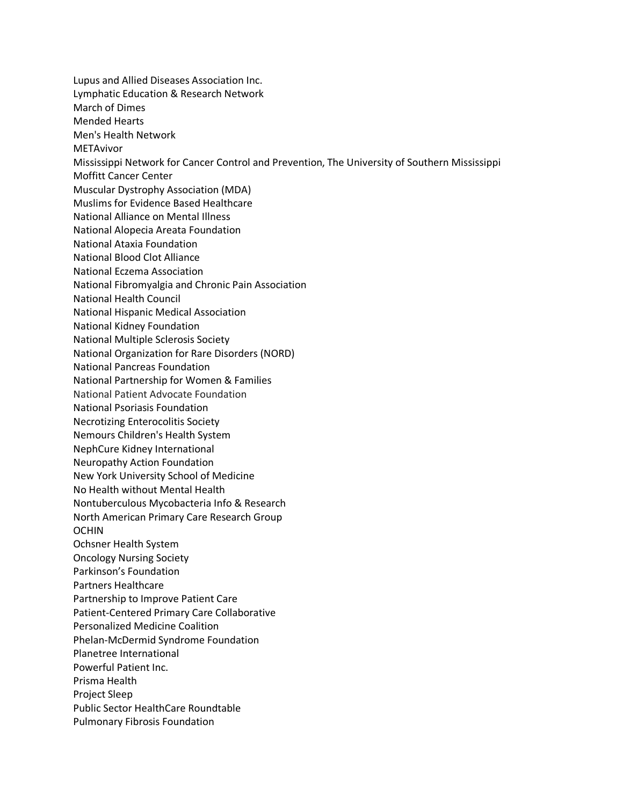Lupus and Allied Diseases Association Inc. Lymphatic Education & Research Network March of Dimes Mended Hearts Men's Health Network METAvivor Mississippi Network for Cancer Control and Prevention, The University of Southern Mississippi Moffitt Cancer Center Muscular Dystrophy Association (MDA) Muslims for Evidence Based Healthcare National Alliance on Mental Illness National Alopecia Areata Foundation National Ataxia Foundation National Blood Clot Alliance National Eczema Association National Fibromyalgia and Chronic Pain Association National Health Council National Hispanic Medical Association National Kidney Foundation National Multiple Sclerosis Society National Organization for Rare Disorders (NORD) National Pancreas Foundation National Partnership for Women & Families National Patient Advocate Foundation National Psoriasis Foundation Necrotizing Enterocolitis Society Nemours Children's Health System NephCure Kidney International Neuropathy Action Foundation New York University School of Medicine No Health without Mental Health Nontuberculous Mycobacteria Info & Research North American Primary Care Research Group OCHIN Ochsner Health System Oncology Nursing Society Parkinson's Foundation Partners Healthcare Partnership to Improve Patient Care Patient-Centered Primary Care Collaborative Personalized Medicine Coalition Phelan-McDermid Syndrome Foundation Planetree International Powerful Patient Inc. Prisma Health Project Sleep Public Sector HealthCare Roundtable Pulmonary Fibrosis Foundation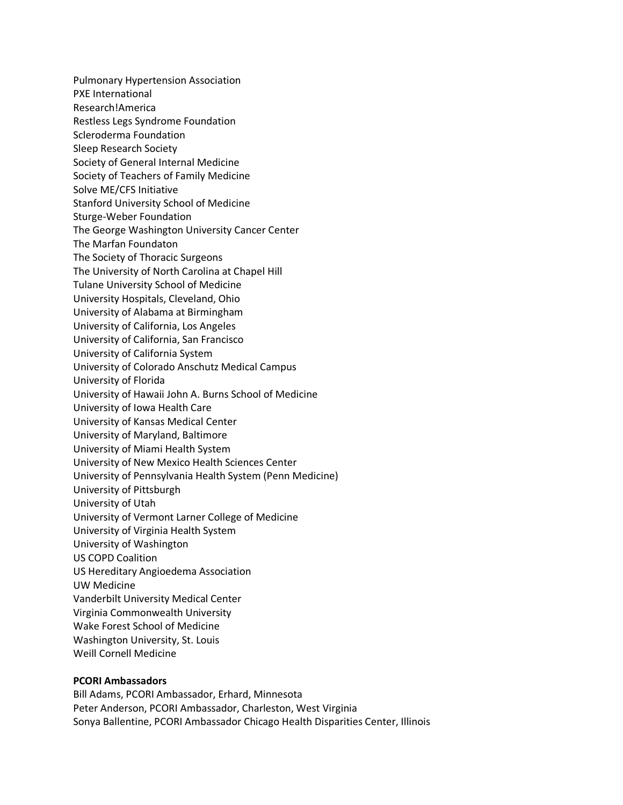Pulmonary Hypertension Association PXE International Research!America Restless Legs Syndrome Foundation Scleroderma Foundation Sleep Research Society Society of General Internal Medicine Society of Teachers of Family Medicine Solve ME/CFS Initiative Stanford University School of Medicine Sturge-Weber Foundation The George Washington University Cancer Center The Marfan Foundaton The Society of Thoracic Surgeons The University of North Carolina at Chapel Hill Tulane University School of Medicine University Hospitals, Cleveland, Ohio University of Alabama at Birmingham University of California, Los Angeles University of California, San Francisco University of California System University of Colorado Anschutz Medical Campus University of Florida University of Hawaii John A. Burns School of Medicine University of Iowa Health Care University of Kansas Medical Center University of Maryland, Baltimore University of Miami Health System University of New Mexico Health Sciences Center University of Pennsylvania Health System (Penn Medicine) University of Pittsburgh University of Utah University of Vermont Larner College of Medicine University of Virginia Health System University of Washington US COPD Coalition US Hereditary Angioedema Association UW Medicine Vanderbilt University Medical Center Virginia Commonwealth University Wake Forest School of Medicine Washington University, St. Louis Weill Cornell Medicine

## **PCORI Ambassadors**

Bill Adams, PCORI Ambassador, Erhard, Minnesota Peter Anderson, PCORI Ambassador, Charleston, West Virginia Sonya Ballentine, PCORI Ambassador Chicago Health Disparities Center, Illinois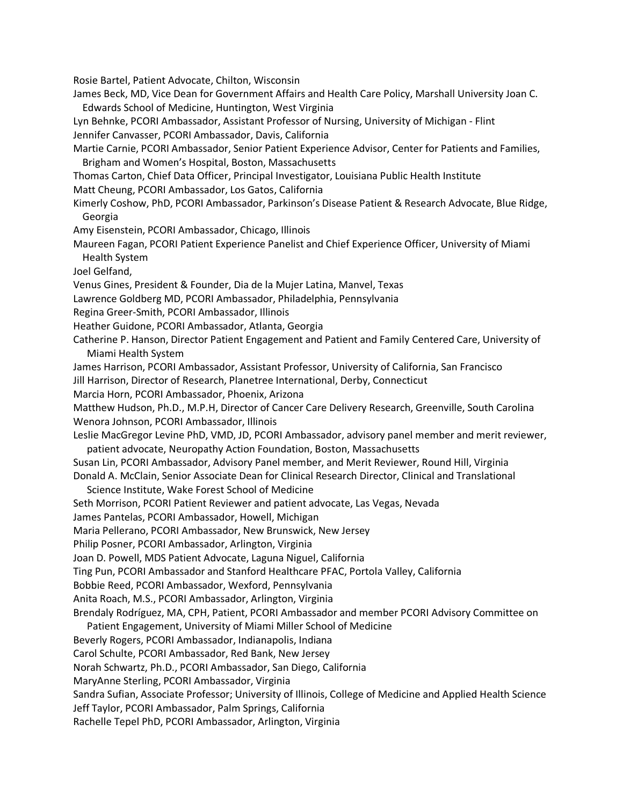Rosie Bartel, Patient Advocate, Chilton, Wisconsin

James Beck, MD, Vice Dean for Government Affairs and Health Care Policy, Marshall University Joan C. Edwards School of Medicine, Huntington, West Virginia

Lyn Behnke, PCORI Ambassador, Assistant Professor of Nursing, University of Michigan - Flint Jennifer Canvasser, PCORI Ambassador, Davis, California

Martie Carnie, PCORI Ambassador, Senior Patient Experience Advisor, Center for Patients and Families, Brigham and Women's Hospital, Boston, Massachusetts

Thomas Carton, Chief Data Officer, Principal Investigator, Louisiana Public Health Institute Matt Cheung, PCORI Ambassador, Los Gatos, California

Kimerly Coshow, PhD, PCORI Ambassador, Parkinson's Disease Patient & Research Advocate, Blue Ridge, Georgia

Amy Eisenstein, PCORI Ambassador, Chicago, Illinois

Maureen Fagan, PCORI Patient Experience Panelist and Chief Experience Officer, University of Miami Health System

Joel Gelfand,

Venus Gines, President & Founder, Dia de la Mujer Latina, Manvel, Texas

Lawrence Goldberg MD, PCORI Ambassador, Philadelphia, Pennsylvania

Regina Greer-Smith, PCORI Ambassador, Illinois

Heather Guidone, PCORI Ambassador, Atlanta, Georgia

Catherine P. Hanson, Director Patient Engagement and Patient and Family Centered Care, University of Miami Health System

James Harrison, PCORI Ambassador, Assistant Professor, University of California, San Francisco

Jill Harrison, Director of Research, Planetree International, Derby, Connecticut

Marcia Horn, PCORI Ambassador, Phoenix, Arizona

Matthew Hudson, Ph.D., M.P.H, Director of Cancer Care Delivery Research, Greenville, South Carolina Wenora Johnson, PCORI Ambassador, Illinois

Leslie MacGregor Levine PhD, VMD, JD, PCORI Ambassador, advisory panel member and merit reviewer, patient advocate, Neuropathy Action Foundation, Boston, Massachusetts

Susan Lin, PCORI Ambassador, Advisory Panel member, and Merit Reviewer, Round Hill, Virginia Donald A. McClain, Senior Associate Dean for Clinical Research Director, Clinical and Translational

Science Institute, Wake Forest School of Medicine

Seth Morrison, PCORI Patient Reviewer and patient advocate, Las Vegas, Nevada

James Pantelas, PCORI Ambassador, Howell, Michigan

Maria Pellerano, PCORI Ambassador, New Brunswick, New Jersey

Philip Posner, PCORI Ambassador, Arlington, Virginia

Joan D. Powell, MDS Patient Advocate, Laguna Niguel, California

Ting Pun, PCORI Ambassador and Stanford Healthcare PFAC, Portola Valley, California

Bobbie Reed, PCORI Ambassador, Wexford, Pennsylvania

Anita Roach, M.S., PCORI Ambassador, Arlington, Virginia

Brendaly Rodríguez, MA, CPH, Patient, PCORI Ambassador and member PCORI Advisory Committee on

Patient Engagement, University of Miami Miller School of Medicine

Beverly Rogers, PCORI Ambassador, Indianapolis, Indiana

Carol Schulte, PCORI Ambassador, Red Bank, New Jersey

Norah Schwartz, Ph.D., PCORI Ambassador, San Diego, California

MaryAnne Sterling, PCORI Ambassador, Virginia

Sandra Sufian, Associate Professor; University of Illinois, College of Medicine and Applied Health Science

Jeff Taylor, PCORI Ambassador, Palm Springs, California

Rachelle Tepel PhD, PCORI Ambassador, Arlington, Virginia